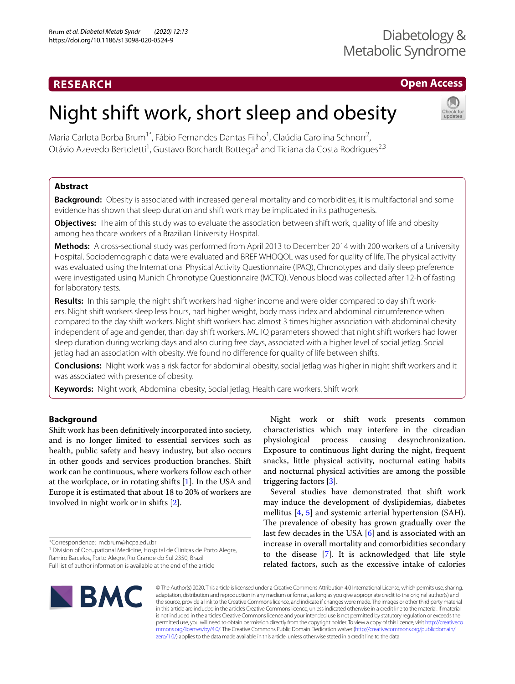# **Open Access**

# Night shift work, short sleep and obesity



Maria Carlota Borba Brum<sup>1\*</sup>, Fábio Fernandes Dantas Filho<sup>1</sup>, Claúdia Carolina Schnorr<sup>2</sup>, Otávio Azevedo Bertoletti<sup>1</sup>, Gustavo Borchardt Bottega<sup>2</sup> and Ticiana da Costa Rodrigues<sup>2,3</sup>

# **Abstract**

**Background:** Obesity is associated with increased general mortality and comorbidities, it is multifactorial and some evidence has shown that sleep duration and shift work may be implicated in its pathogenesis.

**Objectives:** The aim of this study was to evaluate the association between shift work, quality of life and obesity among healthcare workers of a Brazilian University Hospital.

**Methods:** A cross-sectional study was performed from April 2013 to December 2014 with 200 workers of a University Hospital. Sociodemographic data were evaluated and BREF WHOQOL was used for quality of life. The physical activity was evaluated using the International Physical Activity Questionnaire (IPAQ), Chronotypes and daily sleep preference were investigated using Munich Chronotype Questionnaire (MCTQ). Venous blood was collected after 12-h of fasting for laboratory tests.

**Results:** In this sample, the night shift workers had higher income and were older compared to day shift workers. Night shift workers sleep less hours, had higher weight, body mass index and abdominal circumference when compared to the day shift workers. Night shift workers had almost 3 times higher association with abdominal obesity independent of age and gender, than day shift workers. MCTQ parameters showed that night shift workers had lower sleep duration during working days and also during free days, associated with a higher level of social jetlag. Social jetlag had an association with obesity. We found no diference for quality of life between shifts.

**Conclusions:** Night work was a risk factor for abdominal obesity, social jetlag was higher in night shift workers and it was associated with presence of obesity.

**Keywords:** Night work, Abdominal obesity, Social jetlag, Health care workers, Shift work

# **Background**

Shift work has been defnitively incorporated into society, and is no longer limited to essential services such as health, public safety and heavy industry, but also occurs in other goods and services production branches. Shift work can be continuous, where workers follow each other at the workplace, or in rotating shifts  $[1]$  $[1]$ . In the USA and Europe it is estimated that about 18 to 20% of workers are involved in night work or in shifts [[2\]](#page-7-1).

\*Correspondence: mcbrum@hcpa.edu.br

<sup>1</sup> Division of Occupational Medicine, Hospital de Clinicas de Porto Alegre, Ramiro Barcelos, Porto Alegre, Rio Grande do Sul 2350, Brazil Full list of author information is available at the end of the article

Night work or shift work presents common characteristics which may interfere in the circadian physiological process causing desynchronization. Exposure to continuous light during the night, frequent snacks, little physical activity, nocturnal eating habits and nocturnal physical activities are among the possible triggering factors [[3\]](#page-7-2).

Several studies have demonstrated that shift work may induce the development of dyslipidemias, diabetes mellitus [[4,](#page-7-3) [5\]](#page-7-4) and systemic arterial hypertension (SAH). The prevalence of obesity has grown gradually over the last few decades in the USA [\[6](#page-7-5)] and is associated with an increase in overall mortality and comorbidities secondary to the disease [[7\]](#page-7-6). It is acknowledged that life style related factors, such as the excessive intake of calories



© The Author(s) 2020. This article is licensed under a Creative Commons Attribution 4.0 International License, which permits use, sharing, adaptation, distribution and reproduction in any medium or format, as long as you give appropriate credit to the original author(s) and the source, provide a link to the Creative Commons licence, and indicate if changes were made. The images or other third party material in this article are included in the article's Creative Commons licence, unless indicated otherwise in a credit line to the material. If material is not included in the article's Creative Commons licence and your intended use is not permitted by statutory regulation or exceeds the permitted use, you will need to obtain permission directly from the copyright holder. To view a copy of this licence, visit [http://creativeco](http://creativecommons.org/licenses/by/4.0/) [mmons.org/licenses/by/4.0/.](http://creativecommons.org/licenses/by/4.0/) The Creative Commons Public Domain Dedication waiver ([http://creativecommons.org/publicdomain/](http://creativecommons.org/publicdomain/zero/1.0/) [zero/1.0/\)](http://creativecommons.org/publicdomain/zero/1.0/) applies to the data made available in this article, unless otherwise stated in a credit line to the data.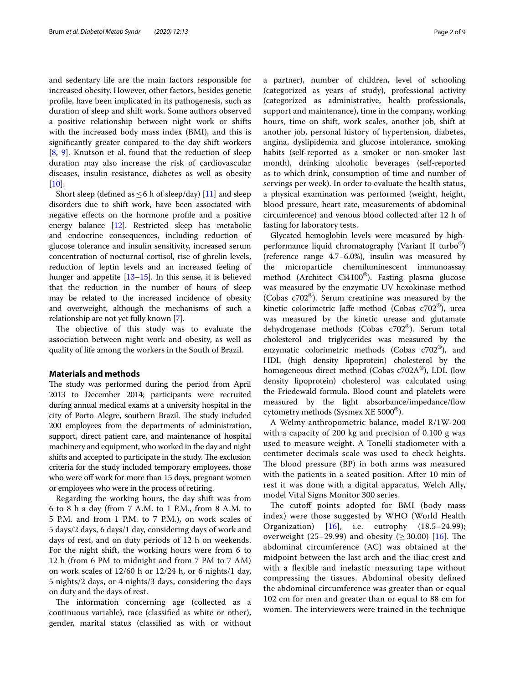and sedentary life are the main factors responsible for increased obesity. However, other factors, besides genetic profle, have been implicated in its pathogenesis, such as duration of sleep and shift work. Some authors observed a positive relationship between night work or shifts with the increased body mass index (BMI), and this is signifcantly greater compared to the day shift workers [[8,](#page-7-7) [9\]](#page-7-8). Knutson et al. found that the reduction of sleep duration may also increase the risk of cardiovascular diseases, insulin resistance, diabetes as well as obesity  $[10]$  $[10]$ .

Short sleep (defined as  $\leq$  6 h of sleep/day) [\[11](#page-8-0)] and sleep disorders due to shift work, have been associated with negative efects on the hormone profle and a positive energy balance [[12](#page-8-1)]. Restricted sleep has metabolic and endocrine consequences, including reduction of glucose tolerance and insulin sensitivity, increased serum concentration of nocturnal cortisol, rise of ghrelin levels, reduction of leptin levels and an increased feeling of hunger and appetite [\[13–](#page-8-2)[15](#page-8-3)]. In this sense, it is believed that the reduction in the number of hours of sleep may be related to the increased incidence of obesity and overweight, although the mechanisms of such a relationship are not yet fully known [\[7](#page-7-6)].

The objective of this study was to evaluate the association between night work and obesity, as well as quality of life among the workers in the South of Brazil.

# **Materials and methods**

The study was performed during the period from April 2013 to December 2014; participants were recruited during annual medical exams at a university hospital in the city of Porto Alegre, southern Brazil. The study included 200 employees from the departments of administration, support, direct patient care, and maintenance of hospital machinery and equipment, who worked in the day and night shifts and accepted to participate in the study. The exclusion criteria for the study included temporary employees, those who were off work for more than 15 days, pregnant women or employees who were in the process of retiring.

Regarding the working hours, the day shift was from 6 to 8 h a day (from 7 A.M. to 1 P.M., from 8 A.M. to 5 P.M. and from 1 P.M. to 7 P.M.), on work scales of 5 days/2 days, 6 days/1 day, considering days of work and days of rest, and on duty periods of 12 h on weekends. For the night shift, the working hours were from 6 to 12 h (from 6 PM to midnight and from 7 PM to 7 AM) on work scales of 12/60 h or 12/24 h, or 6 nights/1 day, 5 nights/2 days, or 4 nights/3 days, considering the days on duty and the days of rest.

The information concerning age (collected as a continuous variable), race (classifed as white or other), gender, marital status (classifed as with or without a partner), number of children, level of schooling (categorized as years of study), professional activity (categorized as administrative, health professionals, support and maintenance), time in the company, working hours, time on shift, work scales, another job, shift at another job, personal history of hypertension, diabetes, angina, dyslipidemia and glucose intolerance, smoking habits (self-reported as a smoker or non-smoker last month), drinking alcoholic beverages (self-reported as to which drink, consumption of time and number of servings per week). In order to evaluate the health status, a physical examination was performed (weight, height, blood pressure, heart rate, measurements of abdominal circumference) and venous blood collected after 12 h of fasting for laboratory tests.

Glycated hemoglobin levels were measured by highperformance liquid chromatography (Variant II turbo®) (reference range 4.7–6.0%), insulin was measured by the microparticle chemiluminescent immunoassay method (Architect Ci4100®). Fasting plasma glucose was measured by the enzymatic UV hexokinase method (Cobas c702®). Serum creatinine was measured by the kinetic colorimetric Jafe method (Cobas c702®), urea was measured by the kinetic urease and glutamate dehydrogenase methods (Cobas c702®). Serum total cholesterol and triglycerides was measured by the enzymatic colorimetric methods (Cobas c702®), and HDL (high density lipoprotein) cholesterol by the homogeneous direct method (Cobas c702A®), LDL (low density lipoprotein) cholesterol was calculated using the Friedewald formula. Blood count and platelets were measured by the light absorbance/impedance/flow cytometry methods (Sysmex XE 5000®).

A Welmy anthropometric balance, model R/1W-200 with a capacity of 200 kg and precision of 0.100 g was used to measure weight. A Tonelli stadiometer with a centimeter decimals scale was used to check heights. The blood pressure (BP) in both arms was measured with the patients in a seated position. After 10 min of rest it was done with a digital apparatus, Welch Ally, model Vital Signs Monitor 300 series.

The cutoff points adopted for BMI (body mass index) were those suggested by WHO (World Health Organization) [[16\]](#page-8-4), i.e. eutrophy (18.5–24.99); overweight (25–29.99) and obesity ( $\geq$  30.00) [\[16\]](#page-8-4). The abdominal circumference (AC) was obtained at the midpoint between the last arch and the iliac crest and with a fexible and inelastic measuring tape without compressing the tissues. Abdominal obesity defned the abdominal circumference was greater than or equal 102 cm for men and greater than or equal to 88 cm for women. The interviewers were trained in the technique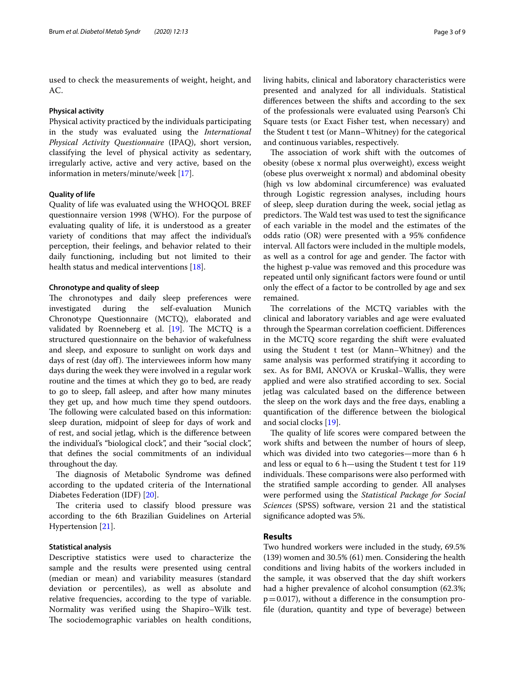used to check the measurements of weight, height, and AC.

## **Physical activity**

Physical activity practiced by the individuals participating in the study was evaluated using the *International Physical Activity Questionnaire* (IPAQ), short version, classifying the level of physical activity as sedentary, irregularly active, active and very active, based on the information in meters/minute/week [\[17\]](#page-8-5).

# **Quality of life**

Quality of life was evaluated using the WHOQOL BREF questionnaire version 1998 (WHO). For the purpose of evaluating quality of life, it is understood as a greater variety of conditions that may afect the individual's perception, their feelings, and behavior related to their daily functioning, including but not limited to their health status and medical interventions [[18](#page-8-6)].

# **Chronotype and quality of sleep**

The chronotypes and daily sleep preferences were investigated during the self-evaluation Munich Chronotype Questionnaire (MCTQ), elaborated and validated by Roenneberg et al.  $[19]$ . The MCTQ is a structured questionnaire on the behavior of wakefulness and sleep, and exposure to sunlight on work days and days of rest (day off). The interviewees inform how many days during the week they were involved in a regular work routine and the times at which they go to bed, are ready to go to sleep, fall asleep, and after how many minutes they get up, and how much time they spend outdoors. The following were calculated based on this information: sleep duration, midpoint of sleep for days of work and of rest, and social jetlag, which is the diference between the individual's "biological clock", and their "social clock", that defnes the social commitments of an individual throughout the day.

The diagnosis of Metabolic Syndrome was defined according to the updated criteria of the International Diabetes Federation (IDF) [\[20](#page-8-8)].

The criteria used to classify blood pressure was according to the 6th Brazilian Guidelines on Arterial Hypertension [\[21\]](#page-8-9).

# **Statistical analysis**

Descriptive statistics were used to characterize the sample and the results were presented using central (median or mean) and variability measures (standard deviation or percentiles), as well as absolute and relative frequencies, according to the type of variable. Normality was verifed using the Shapiro–Wilk test. The sociodemographic variables on health conditions, living habits, clinical and laboratory characteristics were presented and analyzed for all individuals. Statistical diferences between the shifts and according to the sex of the professionals were evaluated using Pearson's Chi Square tests (or Exact Fisher test, when necessary) and the Student t test (or Mann–Whitney) for the categorical and continuous variables, respectively.

The association of work shift with the outcomes of obesity (obese x normal plus overweight), excess weight (obese plus overweight x normal) and abdominal obesity (high vs low abdominal circumference) was evaluated through Logistic regression analyses, including hours of sleep, sleep duration during the week, social jetlag as predictors. The Wald test was used to test the significance of each variable in the model and the estimates of the odds ratio (OR) were presented with a 95% confdence interval. All factors were included in the multiple models, as well as a control for age and gender. The factor with the highest p-value was removed and this procedure was repeated until only signifcant factors were found or until only the efect of a factor to be controlled by age and sex remained.

The correlations of the MCTQ variables with the clinical and laboratory variables and age were evaluated through the Spearman correlation coefficient. Differences in the MCTQ score regarding the shift were evaluated using the Student t test (or Mann–Whitney) and the same analysis was performed stratifying it according to sex. As for BMI, ANOVA or Kruskal–Wallis, they were applied and were also stratifed according to sex. Social jetlag was calculated based on the diference between the sleep on the work days and the free days, enabling a quantifcation of the diference between the biological and social clocks [[19\]](#page-8-7).

The quality of life scores were compared between the work shifts and between the number of hours of sleep, which was divided into two categories—more than 6 h and less or equal to 6 h—using the Student t test for 119 individuals. These comparisons were also performed with the stratifed sample according to gender. All analyses were performed using the *Statistical Package for Social Sciences* (SPSS) software, version 21 and the statistical signifcance adopted was 5%.

# **Results**

Two hundred workers were included in the study, 69.5% (139) women and 30.5% (61) men. Considering the health conditions and living habits of the workers included in the sample, it was observed that the day shift workers had a higher prevalence of alcohol consumption (62.3%;  $p=0.017$ ), without a difference in the consumption profle (duration, quantity and type of beverage) between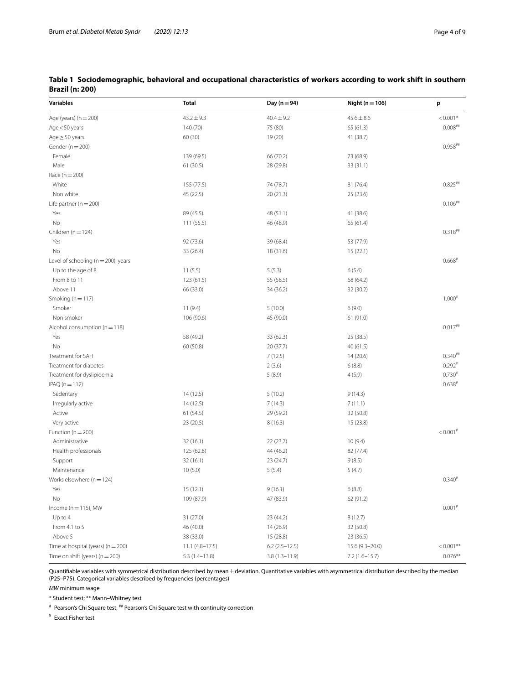| <b>Variables</b>                        | <b>Total</b>        | Day $(n=94)$      | Night ( $n = 106$ ) | p                      |
|-----------------------------------------|---------------------|-------------------|---------------------|------------------------|
| Age (years) $(n = 200)$                 | $43.2 \pm 9.3$      | $40.4 \pm 9.2$    | $45.6 \pm 8.6$      | $< 0.001*$             |
| Age $<$ 50 years                        | 140 (70)            | 75 (80)           | 65 (61.3)           | $0.008$ ##             |
| Age $\geq$ 50 years                     | 60(30)              | 19(20)            | 41 (38.7)           |                        |
| Gender ( $n = 200$ )                    |                     |                   |                     | $0.958$ ##             |
| Female                                  | 139 (69.5)          | 66 (70.2)         | 73 (68.9)           |                        |
| Male                                    | 61(30.5)            | 28 (29.8)         | 33 (31.1)           |                        |
| Race ( $n = 200$ )                      |                     |                   |                     |                        |
| White                                   | 155 (77.5)          | 74 (78.7)         | 81 (76.4)           | $0.825$ <sup>##</sup>  |
| Non white                               | 45 (22.5)           | 20(21.3)          | 25 (23.6)           |                        |
| Life partner ( $n = 200$ )              |                     |                   |                     | $0.106^{***}$          |
| Yes                                     | 89 (45.5)           | 48 (51.1)         | 41 (38.6)           |                        |
| No                                      | 111 (55.5)          | 46 (48.9)         | 65 (61.4)           |                        |
| Children ( $n = 124$ )                  |                     |                   |                     | $0.318$ <sup>##</sup>  |
| Yes                                     | 92 (73.6)           | 39 (68.4)         | 53 (77.9)           |                        |
| No                                      | 33 (26.4)           | 18 (31.6)         | 15(22.1)            |                        |
| Level of schooling ( $n = 200$ ), years |                     |                   |                     | $0.668$ <sup>#</sup>   |
| Up to the age of 8                      | 11(5.5)             | 5(5.3)            | 6(5.6)              |                        |
| From 8 to 11                            | 123 (61.5)          | 55 (58.5)         | 68 (64.2)           |                        |
| Above 11                                | 66 (33.0)           | 34 (36.2)         | 32 (30.2)           |                        |
| Smoking ( $n = 117$ )                   |                     |                   |                     | $1.000*$               |
| Smoker                                  | 11(9.4)             | 5(10.0)           | 6(9.0)              |                        |
| Non smoker                              | 106 (90.6)          | 45 (90.0)         | 61 (91.0)           |                        |
| Alcohol consumption ( $n = 118$ )       |                     |                   |                     | $0.017$ <sup>##</sup>  |
| Yes                                     | 58 (49.2)           | 33 (62.3)         | 25 (38.5)           |                        |
| No                                      | 60 (50.8)           | 20 (37.7)         | 40 (61.5)           |                        |
| Treatment for SAH                       |                     | 7(12.5)           | 14 (20.6)           | $0.340^{#}$            |
| Treatment for diabetes                  |                     | 2(3.6)            | 6(8.8)              | $0.292*$               |
| Treatment for dyslipidemia              |                     | 5(8.9)            | 4(5.9)              | $0.730*$               |
| $IPAQ(n=112)$                           |                     |                   |                     | $0.638*$               |
| Sedentary                               | 14 (12.5)           | 5(10.2)           | 9(14.3)             |                        |
| Irregularly active                      | 14(12.5)            | 7(14.3)           | 7(11.1)             |                        |
| Active                                  | 61 (54.5)           | 29 (59.2)         | 32 (50.8)           |                        |
| Very active                             | 23 (20.5)           | 8(16.3)           | 15 (23.8)           |                        |
| Function ( $n = 200$ )                  |                     |                   |                     | $< 0.001$ <sup>#</sup> |
| Administrative                          | 32(16.1)            | 22 (23.7)         | 10 (9.4)            |                        |
| Health professionals                    | 125 (62.8)          | 44 (46.2)         | 82 (77.4)           |                        |
| Support                                 | 32 (16.1)           | 23 (24.7)         | 9(8.5)              |                        |
| Maintenance                             | 10(5.0)             | 5(5.4)            | 5(4.7)              |                        |
| Works elsewhere ( $n = 124$ )           |                     |                   |                     | $0.340*$               |
| Yes                                     | 15(12.1)            | 9(16.1)           | 6(8.8)              |                        |
| No                                      | 109 (87.9)          | 47 (83.9)         | 62 (91.2)           |                        |
| Income ( $n = 115$ ), MW                |                     |                   |                     | $0.001$ #              |
| Up to 4                                 | 31 (27.0)           | 23 (44.2)         | 8(12.7)             |                        |
| From 4.1 to 5                           | 46 (40.0)           | 14 (26.9)         | 32 (50.8)           |                        |
| Above 5                                 | 38 (33.0)           | 15 (28.8)         | 23 (36.5)           |                        |
| Time at hospital (years) ( $n = 200$ )  | $11.1 (4.8 - 17.5)$ | $6.2$ (2.5-12.5)  | 15.6 (9.3-20.0)     | $< 0.001**$            |
| Time on shift (years) ( $n = 200$ )     | $5.3(1.4-13.8)$     | $3.8(1.3 - 11.9)$ | $7.2(1.6 - 15.7)$   | $0.076**$              |
|                                         |                     |                   |                     |                        |

<span id="page-3-0"></span>

|                        | Table 1 Sociodemographic, behavioral and occupational characteristics of workers according to work shift in southern |  |  |  |
|------------------------|----------------------------------------------------------------------------------------------------------------------|--|--|--|
| <b>Brazil (n: 200)</b> |                                                                                                                      |  |  |  |

Quantifiable variables with symmetrical distribution described by mean±deviation. Quantitative variables with asymmetrical distribution described by the median<br>(P25–P75). Categorical variables described by frequencies (per

*MW* minimum wage

\* Student test; \*\* Mann–Whitney test

 $*$  Pearson's Chi Square test,  $**$  Pearson's Chi Square test with continuity correction

¥ Exact Fisher test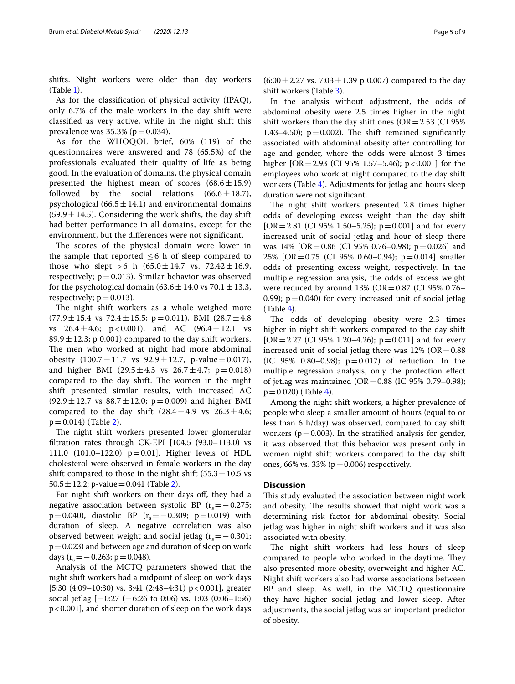shifts. Night workers were older than day workers (Table [1](#page-3-0)).

As for the classifcation of physical activity (IPAQ), only 6.7% of the male workers in the day shift were classifed as very active, while in the night shift this prevalence was  $35.3\%$  ( $p = 0.034$ ).

As for the WHOQOL brief, 60% (119) of the questionnaires were answered and 78 (65.5%) of the professionals evaluated their quality of life as being good. In the evaluation of domains, the physical domain presented the highest mean of scores  $(68.6 \pm 15.9)$ followed by the social relations  $(66.6 \pm 18.7)$ , psychological (66.5 $\pm$ 14.1) and environmental domains  $(59.9 \pm 14.5)$ . Considering the work shifts, the day shift had better performance in all domains, except for the environment, but the diferences were not signifcant.

The scores of the physical domain were lower in the sample that reported  $\leq 6$  h of sleep compared to those who slept > 6 h  $(65.0 \pm 14.7 \text{ vs. } 72.42 \pm 16.9,$ respectively;  $p = 0.013$ ). Similar behavior was observed for the psychological domain  $(63.6 \pm 14.0 \text{ vs } 70.1 \pm 13.3,$ respectively;  $p = 0.013$ ).

The night shift workers as a whole weighed more  $(77.9 \pm 15.4 \text{ vs } 72.4 \pm 15.5; \text{ p}=0.011)$ , BMI  $(28.7 \pm 4.8)$ vs  $26.4 \pm 4.6$ ; p < 0.001), and AC  $(96.4 \pm 12.1$  vs 89.9  $\pm$  12.3; p 0.001) compared to the day shift workers. The men who worked at night had more abdominal obesity  $(100.7 \pm 11.7 \text{ vs } 92.9 \pm 12.7, \text{ p-value} = 0.017)$ , and higher BMI  $(29.5 \pm 4.3 \text{ vs } 26.7 \pm 4.7; \text{ p} = 0.018)$ compared to the day shift. The women in the night shift presented similar results, with increased AC  $(92.9 \pm 12.7 \text{ vs } 88.7 \pm 12.0; \text{ p} = 0.009)$  and higher BMI compared to the day shift  $(28.4 \pm 4.9 \text{ vs } 26.3 \pm 4.6;$  $p = 0.014$ ) (Table [2\)](#page-5-0).

The night shift workers presented lower glomerular fltration rates through CK-EPI [104.5 (93.0–113.0) vs 111.0 (101.0–122.0) p=0.01]. Higher levels of HDL cholesterol were observed in female workers in the day shift compared to those in the night shift  $(55.3 \pm 10.5 \text{ vs } 10.5 \text{ or } 10.5 \text{ or } 10.5 \text{ or } 10.5 \text{ or } 10.5 \text{ or } 10.5 \text{ or } 10.5 \text{ or } 10.5 \text{ or } 10.5 \text{ or } 10.5 \text{ or } 10.5 \text{ or } 10.5 \text{ or } 10.5 \text{ or } 10.5 \text{ or } 10.5 \text{ or } 10.5 \text{ or }$  $50.5 \pm 12.2$ ; p-value = 0.041 (Table [2\)](#page-5-0).

For night shift workers on their days off, they had a negative association between systolic BP ( $r_s = -0.275$ ;  $p=0.040$ ), diastolic BP ( $r<sub>s</sub>=-0.309$ ;  $p=0.019$ ) with duration of sleep. A negative correlation was also observed between weight and social jetlag ( $r_s = -0.301$ ;  $p=0.023$ ) and between age and duration of sleep on work days (r<sub>s</sub> = −0.263; p = 0.048).

Analysis of the MCTQ parameters showed that the night shift workers had a midpoint of sleep on work days [5:30 (4:09–10:30) vs. 3:41 (2:48–4:31)  $p < 0.001$ ], greater social jetlag [−0:27 (−6:26 to 0:06) vs. 1:03 (0:06–1:56) p<0.001], and shorter duration of sleep on the work days

 $(6:00 \pm 2.27 \text{ vs. } 7:03 \pm 1.39 \text{ p } 0.007)$  compared to the day shift workers (Table [3\)](#page-6-0).

In the analysis without adjustment, the odds of abdominal obesity were 2.5 times higher in the night shift workers than the day shift ones ( $OR = 2.53$  (CI 95%) 1.43–4.50);  $p = 0.002$ . The shift remained significantly associated with abdominal obesity after controlling for age and gender, where the odds were almost 3 times higher  $[OR = 2.93$  (CI 95% 1.57–5.46); p<0.001] for the employees who work at night compared to the day shift workers (Table [4\)](#page-6-1). Adjustments for jetlag and hours sleep duration were not signifcant.

The night shift workers presented 2.8 times higher odds of developing excess weight than the day shift  $[OR = 2.81$  (CI 95% 1.50–5.25);  $p = 0.001$ ] and for every increased unit of social jetlag and hour of sleep there was  $14\%$  [OR = 0.86 (CI 95% 0.76–0.98); p = 0.026] and 25% [OR=0.75 (CI 95% 0.60–0.94); p=0.014] smaller odds of presenting excess weight, respectively. In the multiple regression analysis, the odds of excess weight were reduced by around  $13%$  (OR=0.87 (CI 95% 0.76– 0.99);  $p = 0.040$  for every increased unit of social jetlag  $(Table 4).$  $(Table 4).$  $(Table 4).$ 

The odds of developing obesity were 2.3 times higher in night shift workers compared to the day shift  $[OR = 2.27$  (CI 95% 1.20–4.26);  $p = 0.011$ ] and for every increased unit of social jetlag there was  $12\%$  (OR=0.88) (IC 95% 0.80–0.98);  $p=0.017$ ) of reduction. In the multiple regression analysis, only the protection efect of jetlag was maintained (OR=0.88 (IC 95% 0.79–0.98);  $p=0.020$ ) (Table [4](#page-6-1)).

Among the night shift workers, a higher prevalence of people who sleep a smaller amount of hours (equal to or less than 6 h/day) was observed, compared to day shift workers ( $p=0.003$ ). In the stratified analysis for gender, it was observed that this behavior was present only in women night shift workers compared to the day shift ones, 66% vs. 33% ( $p=0.006$ ) respectively.

# **Discussion**

This study evaluated the association between night work and obesity. The results showed that night work was a determining risk factor for abdominal obesity. Social jetlag was higher in night shift workers and it was also associated with obesity.

The night shift workers had less hours of sleep compared to people who worked in the daytime. They also presented more obesity, overweight and higher AC. Night shift workers also had worse associations between BP and sleep. As well, in the MCTQ questionnaire they have higher social jetlag and lower sleep. After adjustments, the social jetlag was an important predictor of obesity.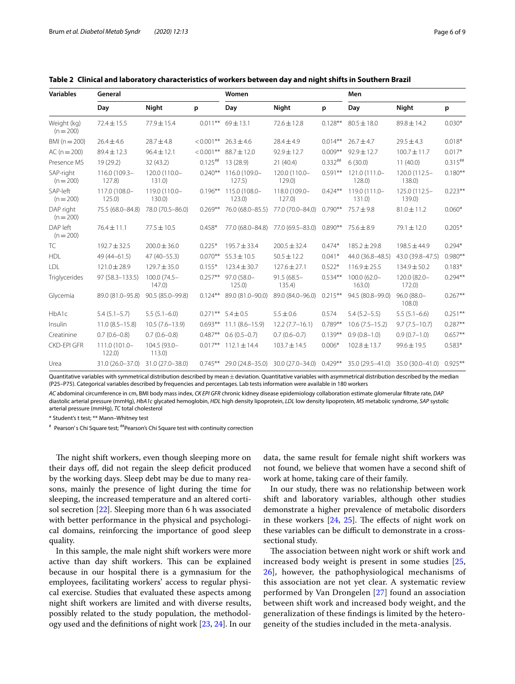| <b>Variables</b>         | General                    |                            |              | Women                      |                                   |              | Men                        |                                   |                       |
|--------------------------|----------------------------|----------------------------|--------------|----------------------------|-----------------------------------|--------------|----------------------------|-----------------------------------|-----------------------|
|                          | Day                        | Night                      | p            | Day                        | Night                             | р            | Day                        | Night                             | p                     |
| Weight (kg)<br>$(n=200)$ | $72.4 \pm 15.5$            | $77.9 \pm 15.4$            |              | $0.011***$ 69 ± 13.1       | $72.6 \pm 12.8$                   | $0.128**$    | $80.5 \pm 18.0$            | $89.8 \pm 14.2$                   | $0.030*$              |
| $BMI(n = 200)$           | $26.4 \pm 4.6$             | $28.7 \pm 4.8$             | $< 0.001$ ** | $26.3 \pm 4.6$             | $28.4 \pm 4.9$                    | $0.014**$    | $26.7 \pm 4.7$             | $29.5 \pm 4.3$                    | $0.018*$              |
| $AC(n = 200)$            | $89.4 \pm 12.3$            | $96.4 \pm 12.1$            | $< 0.001$ ** | $88.7 \pm 12.0$            | $92.9 \pm 12.7$                   | $0.009**$    | $92.9 \pm 12.7$            | $100.7 \pm 11.7$                  | $0.017*$              |
| Presence MS              | 19 (29.2)                  | 32 (43.2)                  | $0.125$ ##   | 13 (28.9)                  | 21(40.4)                          | $0.332^{++}$ | 6(30.0)                    | 11(40.0)                          | $0.315$ <sup>##</sup> |
| SAP-right<br>$(n=200)$   | 116.0 (109.3-<br>127.8     | 120.0 (110.0-<br>131.0     | $0.240**$    | 116.0 (109.0-<br>127.5     | 120.0 (110.0-<br>$129.0$ )        | $0.591**$    | 121.0 (111.0-<br>128.0     | 120.0 (112.5-<br>$138.0$ )        | $0.180**$             |
| SAP-left<br>$(n=200)$    | 117.0 (108.0-<br>$125.0$ ) | 119.0 (110.0-<br>$130.0$ ) | $0.196***$   | 115.0 (108.0-<br>$123.0$ ) | 118.0 (109.0-<br>127.0            | $0.424**$    | 119.0 (111.0-<br>$131.0$ ) | 125.0 (112.5-<br>139.0            | $0.223**$             |
| DAP right<br>$(n=200)$   | 75.5 (68.0-84.8)           | 78.0 (70.5-86.0)           | $0.269**$    | 76.0 (68.0-85.5)           | 77.0 (70.0-84.0)                  | $0.790**$    | $75.7 \pm 9.8$             | $81.0 \pm 11.2$                   | $0.060*$              |
| DAP left<br>$(n=200)$    | $76.4 \pm 11.1$            | $77.5 \pm 10.5$            | $0.458*$     | 77.0 (68.0-84.8)           | 77.0 (69.5-83.0)                  | $0.890**$    | $75.6 \pm 8.9$             | $79.1 \pm 12.0$                   | $0.205*$              |
| TC                       | $192.7 \pm 32.5$           | $200.0 \pm 36.0$           | $0.225*$     | $195.7 \pm 33.4$           | $200.5 \pm 32.4$                  | $0.474*$     | $185.2 \pm 29.8$           | $198.5 \pm 44.9$                  | $0.294*$              |
| <b>HDL</b>               | 49 (44 - 61.5)             | 47 (40-55.3)               | $0.070**$    | $55.3 \pm 10.5$            | $50.5 \pm 12.2$                   | $0.041*$     | 44.0 (36.8-48.5)           | 43.0 (39.8-47.5)                  | $0.980**$             |
| <b>LDL</b>               | $121.0 \pm 28.9$           | $129.7 \pm 35.0$           | $0.155*$     | $123.4 \pm 30.7$           | $127.6 \pm 27.1$                  | $0.522*$     | $116.9 \pm 25.5$           | $134.9 \pm 50.2$                  | $0.183*$              |
| Triglycerides            | 97 (58.3-133.5)            | 100.0 (74.5-<br>147.0      | $0.257**$    | 97.0 (58.0-<br>125.0       | $91.5(68.5 -$<br>135.4)           | $0.534**$    | 100.0 (62.0-<br>163.0      | 120.0 (82.0-<br>172.0             | $0.294**$             |
| Glycemia                 | 89.0 (81.0-95.8)           | 90.5 (85.0-99.8)           | $0.124**$    | 89.0 (81.0-90.0)           | 89.0 (84.0-96.0)                  | $0.215***$   | 94.5 (80.8-99.0)           | 96.0 (88.0-<br>$108.0$ )          | $0.267**$             |
| HbA1c                    | $5.4(5.1-5.7)$             | $5.5(5.1-6.0)$             | $0.271***$   | $5.4 \pm 0.5$              | $5.5 \pm 0.6$                     | 0.574        | $5.4(5.2 - 5.5)$           | $5.5(5.1-6.6)$                    | $0.251***$            |
| Insulin                  | $11.0(8.5 - 15.8)$         | $10.5(7.6 - 13.9)$         | $0.693**$    | $11.1 (8.6 - 15.9)$        | $12.2(7.7-16.1)$                  | $0.789**$    | $10.6(7.5 - 15.2)$         | $9.7(7.5 - 10.7)$                 | $0.287**$             |
| Creatinine               | $0.7(0.6 - 0.8)$           | $0.7(0.6 - 0.8)$           | $0.487**$    | $0.6(0.5-0.7)$             | $0.7(0.6 - 0.7)$                  | $0.139**$    | $0.9(0.8-1.0)$             | $0.9(0.7-1.0)$                    | $0.657**$             |
| <b>CKD-EPI GFR</b>       | 111.0 (101.0-<br>$122.0$ ) | 104.5 (93.0-<br>$113.0$ )  | $0.017**$    | $112.1 \pm 14.4$           | $103.7 \pm 14.5$                  | $0.006*$     | $102.8 \pm 13.7$           | $99.6 \pm 19.5$                   | $0.583*$              |
| Urea                     | 31.0 (26.0-37.0)           | 31.0 (27.0-38.0)           | $0.745**$    |                            | 29.0 (24.8-35.0) 30.0 (27.0-34.0) | $0.429**$    |                            | 35.0 (29.5-41.0) 35.0 (30.0-41.0) | $0.925***$            |

<span id="page-5-0"></span>

Quantitative variables with symmetrical distribution described by mean $\pm$  deviation. Quantitative variables with asymmetrical distribution described by the median (P25–P75). Categorical variables described by frequencies and percentages. Lab tests information were available in 180 workers

*AC* abdominal circumference in cm, BMI body mass index, *CK EPI GFR* chronic kidney disease epidemiology collaboration estimate glomerular fltrate rate, *DAP* diastolic arterial pressure (mmHg), *HbA1c* glycated hemoglobin, *HDL* high density lipoprotein, *LDL* low density lipoprotein, *MS* metabolic syndrome, *SAP* systolic arterial pressure (mmHg), *TC* total cholesterol

\* Student's t test; \*\* Mann–Whitney test

# Pearson' s Chi Square test; ##Pearson's Chi Square test with continuity correction

The night shift workers, even though sleeping more on their days off, did not regain the sleep deficit produced by the working days. Sleep debt may be due to many reasons, mainly the presence of light during the time for sleeping, the increased temperature and an altered cortisol secretion [\[22](#page-8-10)]. Sleeping more than 6 h was associated with better performance in the physical and psychological domains, reinforcing the importance of good sleep quality.

In this sample, the male night shift workers were more active than day shift workers. This can be explained because in our hospital there is a gymnasium for the employees, facilitating workers' access to regular physical exercise. Studies that evaluated these aspects among night shift workers are limited and with diverse results, possibly related to the study population, the methodology used and the defnitions of night work [\[23](#page-8-11), [24\]](#page-8-12). In our

data, the same result for female night shift workers was not found, we believe that women have a second shift of work at home, taking care of their family.

In our study, there was no relationship between work shift and laboratory variables, although other studies demonstrate a higher prevalence of metabolic disorders in these workers  $[24, 25]$  $[24, 25]$  $[24, 25]$  $[24, 25]$  $[24, 25]$ . The effects of night work on these variables can be difficult to demonstrate in a crosssectional study.

The association between night work or shift work and increased body weight is present in some studies [\[25](#page-8-13), [26\]](#page-8-14), however, the pathophysiological mechanisms of this association are not yet clear. A systematic review performed by Van Drongelen [[27\]](#page-8-15) found an association between shift work and increased body weight, and the generalization of these fndings is limited by the heterogeneity of the studies included in the meta-analysis.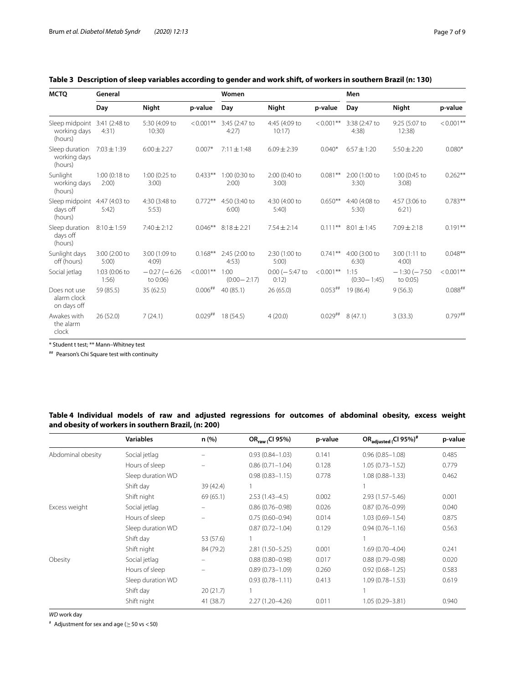| <b>MCTQ</b>                                | General                |                                 |              | Women                   |                            |             | Men                     |                            |                       |
|--------------------------------------------|------------------------|---------------------------------|--------------|-------------------------|----------------------------|-------------|-------------------------|----------------------------|-----------------------|
|                                            | Day                    | <b>Night</b>                    | p-value      | Day                     | Night                      | p-value     | Day                     | <b>Night</b>               | p-value               |
| Sleep midpoint<br>working days<br>(hours)  | 3:41 (2:48 to<br>4:31) | 5:30 (4:09 to<br>10:30          | $< 0.001$ ** | 3:45 (2:47 to<br>4:27   | 4:45 (4:09 to<br>10:17     | $< 0.001**$ | 3:38 (2:47 to<br>4:38   | 9:25 (5:07 to<br>12:38     | $< 0.001$ **          |
| Sleep duration<br>working days<br>(hours)  | $7:03 \pm 1:39$        | $6:00 \pm 2:27$                 | $0.007*$     | $7:11 \pm 1:48$         | $6.09 \pm 2.39$            | $0.040*$    | $6:57 \pm 1:20$         | $5:50 \pm 2:20$            | $0.080*$              |
| Sunlight<br>working days<br>(hours)        | 1:00 (0:18 to<br>2:00  | 1:00 (0:25 to<br>3:00           | $0.433**$    | 1:00 (0:30 to<br>2:00   | 2:00 (0:40 to<br>3:00      | $0.081**$   | 2:00 (1:00 to<br>3:30)  | 1:00 (0:45 to<br>3:08      | $0.262**$             |
| Sleep midpoint<br>days off<br>(hours)      | 4:47 (4:03 to<br>5:42) | 4:30 (3:48 to<br>5:53           | $0.772**$    | 4:50 (3:40 to<br>6:00   | 4:30 (4:00 to<br>5:40      | $0.650**$   | 4:40 (4:08 to<br>5:30)  | 4:57 (3:06 to<br>6:21)     | $0.783**$             |
| Sleep duration<br>days off<br>(hours)      | $8:10 \pm 1:59$        | $7:40 \pm 2:12$                 | $0.046**$    | $8:18 \pm 2:21$         | $7.54 \pm 2.14$            | $0.111***$  | $8:01 \pm 1:45$         | $7:09 \pm 2:18$            | $0.191**$             |
| Sunlight days<br>off (hours)               | 3:00 (2:00 to<br>5:00  | 3:00 (1:09 to<br>4:09           | $0.168**$    | 2:45 (2:00 to<br>4:53)  | 2:30 (1:00 to<br>5:00      | $0.741**$   | 4:00 (3:00 to<br>6:30)  | 3:00 (1:11 to<br>4:00      | $0.048**$             |
| Social jetlag                              | 1:03 (0:06 to<br>1:56  | $-0.27$ ( $-6.26$ )<br>to 0:06) | $< 0.001**$  | 1:00<br>$(0:00 - 2:17)$ | $0:00 (-5:47)$ to<br>0:12) | $< 0.001**$ | 1:15<br>$(0:30 - 1:45)$ | $-1:30(-7:50)$<br>to 0:05) | $< 0.001$ **          |
| Does not use<br>alarm clock<br>on days off | 59 (85.5)              | 35(62.5)                        | $0.006^{+#}$ | 40 (85.1)               | 26(65.0)                   | $0.053$ ##  | 19 (86.4)               | 9(56.3)                    | $0.088^{**}$          |
| Awakes with<br>the alarm<br>clock          | 26(52.0)               | 7(24.1)                         | $0.029$ ##   | 18(54.5)                | 4(20.0)                    | $0.029^{#}$ | 8(47.1)                 | 3(33.3)                    | $0.797$ <sup>##</sup> |

# <span id="page-6-0"></span>**Table 3 Description of sleep variables according to gender and work shift, of workers in southern Brazil (n: 130)**

\* Student t test; \*\* Mann–Whitney test

## Pearson's Chi Square test with continuity

# <span id="page-6-1"></span>**Table 4 Individual models of raw and adjusted regressions for outcomes of abdominal obesity, excess weight and obesity of workers in southern Brazil, (n: 200)**

|                   | <b>Variables</b>  | n(%)      | OR <sub>raw</sub> (CI 95%) | p-value | $OR_{adjusted}$ (CI 95%) <sup>#</sup> | p-value |
|-------------------|-------------------|-----------|----------------------------|---------|---------------------------------------|---------|
| Abdominal obesity | Social jetlag     |           | $0.93(0.84 - 1.03)$        | 0.141   | $0.96(0.85 - 1.08)$                   | 0.485   |
|                   | Hours of sleep    |           | $0.86(0.71 - 1.04)$        | 0.128   | $1.05(0.73 - 1.52)$                   | 0.779   |
|                   | Sleep duration WD |           | $0.98(0.83 - 1.15)$        | 0.778   | $1.08(0.88 - 1.33)$                   | 0.462   |
|                   | Shift day         | 39 (42.4) |                            |         |                                       |         |
|                   | Shift night       | 69 (65.1) | $2.53(1.43 - 4.5)$         | 0.002   | $2.93(1.57 - 5.46)$                   | 0.001   |
| Excess weight     | Social jetlag     |           | $0.86(0.76 - 0.98)$        | 0.026   | $0.87(0.76 - 0.99)$                   | 0.040   |
|                   | Hours of sleep    |           | $0.75(0.60 - 0.94)$        | 0.014   | $1.03(0.69 - 1.54)$                   | 0.875   |
|                   | Sleep duration WD |           | $0.87(0.72 - 1.04)$        | 0.129   | $0.94(0.76 - 1.16)$                   | 0.563   |
|                   | Shift day         | 53 (57.6) |                            |         |                                       |         |
|                   | Shift night       | 84 (79.2) | $2.81(1.50 - 5.25)$        | 0.001   | 1.69 (0.70-4.04)                      | 0.241   |
| Obesity           | Social jetlag     |           | $0.88(0.80 - 0.98)$        | 0.017   | $0.88(0.79 - 0.98)$                   | 0.020   |
|                   | Hours of sleep    |           | $0.89(0.73 - 1.09)$        | 0.260   | $0.92(0.68 - 1.25)$                   | 0.583   |
|                   | Sleep duration WD |           | $0.93(0.78 - 1.11)$        | 0.413   | $1.09(0.78 - 1.53)$                   | 0.619   |
|                   | Shift day         | 20(21.7)  |                            |         |                                       |         |
|                   | Shift night       | 41 (38.7) | $2.27(1.20 - 4.26)$        | 0.011   | $1.05(0.29 - 3.81)$                   | 0.940   |

*WD* work day

 $*$  Adjustment for sex and age ( $\geq$  50 vs < 50)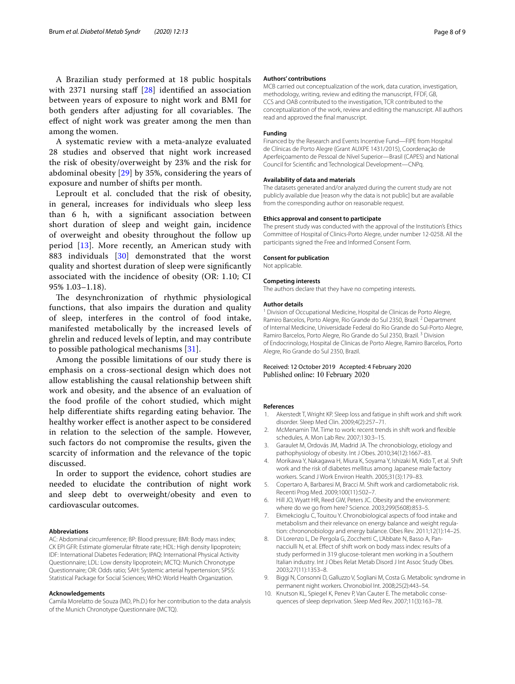A systematic review with a meta-analyze evaluated 28 studies and observed that night work increased the risk of obesity/overweight by 23% and the risk for abdominal obesity [[29\]](#page-8-17) by 35%, considering the years of exposure and number of shifts per month.

Leproult et al. concluded that the risk of obesity, in general, increases for individuals who sleep less than 6 h, with a signifcant association between short duration of sleep and weight gain, incidence of overweight and obesity throughout the follow up period [[13\]](#page-8-2). More recently, an American study with 883 individuals [[30](#page-8-18)] demonstrated that the worst quality and shortest duration of sleep were signifcantly associated with the incidence of obesity (OR: 1.10; CI 95% 1.03–1.18).

The desynchronization of rhythmic physiological functions, that also impairs the duration and quality of sleep, interferes in the control of food intake, manifested metabolically by the increased levels of ghrelin and reduced levels of leptin, and may contribute to possible pathological mechanisms [[31\]](#page-8-19).

Among the possible limitations of our study there is emphasis on a cross-sectional design which does not allow establishing the causal relationship between shift work and obesity, and the absence of an evaluation of the food profle of the cohort studied, which might help differentiate shifts regarding eating behavior. The healthy worker efect is another aspect to be considered in relation to the selection of the sample. However, such factors do not compromise the results, given the scarcity of information and the relevance of the topic discussed.

In order to support the evidence, cohort studies are needed to elucidate the contribution of night work and sleep debt to overweight/obesity and even to cardiovascular outcomes.

## **Abbreviations**

AC: Abdominal circumference; BP: Blood pressure; BMI: Body mass index; CK EPI GFR: Estimate glomerular fltrate rate; HDL: High density lipoprotein; IDF: International Diabetes Federation; IPAQ: International Physical Activity Questionnaire; LDL: Low density lipoprotein; MCTQ: Munich Chronotype Questionnaire; OR: Odds ratio; SAH: Systemic arterial hypertension; SPSS: Statistical Package for Social Sciences; WHO: World Health Organization.

#### **Acknowledgements**

Camila Morelatto de Souza (MD, Ph.D.) for her contribution to the data analysis of the Munich Chronotype Questionnaire (MCTQ).

#### **Authors' contributions**

MCB carried out conceptualization of the work, data curation, investigation, methodology, writing, review and editing the manuscript, FFDF, GB, CCS and OAB contributed to the investigation, TCR contributed to the conceptualization of the work, review and editing the manuscript. All authors read and approved the fnal manuscript.

#### **Funding**

Financed by the Research and Events Incentive Fund—FIPE from Hospital de Clínicas de Porto Alegre (Grant AUXPE 1431/2015), Coordenação de Aperfeiçoamento de Pessoal de Nível Superior—Brasil (CAPES) and National Council for Scientifc and Technological Development—CNPq.

#### **Availability of data and materials**

The datasets generated and/or analyzed during the current study are not publicly available due [reason why the data is not public] but are available from the corresponding author on reasonable request.

#### **Ethics approval and consent to participate**

The present study was conducted with the approval of the Institution's Ethics Committee of Hospital of Clinics-Porto Alegre, under number 12-0258. All the participants signed the Free and Informed Consent Form.

## **Consent for publication**

Not applicable.

#### **Competing interests**

The authors declare that they have no competing interests.

#### **Author details**

<sup>1</sup> Division of Occupational Medicine, Hospital de Clinicas de Porto Alegre, Ramiro Barcelos, Porto Alegre, Rio Grande do Sul 2350, Brazil.<sup>2</sup> Department of Internal Medicine, Universidade Federal do Rio Grande do Sul-Porto Alegre, Ramiro Barcelos, Porto Alegre, Rio Grande do Sul 2350, Brazil. 3 Division of Endocrinology, Hospital de Clinicas de Porto Alegre, Ramiro Barcelos, Porto Alegre, Rio Grande do Sul 2350, Brazil.

## Received: 12 October 2019 Accepted: 4 February 2020 Published online: 10 February 2020

#### **References**

- <span id="page-7-0"></span>Akerstedt T, Wright KP. Sleep loss and fatigue in shift work and shift work disorder. Sleep Med Clin. 2009;4(2):257–71.
- <span id="page-7-1"></span>2. McMenamin TM. Time to work: recent trends in shift work and fexible schedules, A. Mon Lab Rev. 2007;130:3–15.
- <span id="page-7-2"></span>3. Garaulet M, Ordovás JM, Madrid JA. The chronobiology, etiology and pathophysiology of obesity. Int J Obes. 2010;34(12):1667–83.
- <span id="page-7-3"></span>4. Morikawa Y, Nakagawa H, Miura K, Soyama Y, Ishizaki M, Kido T, et al. Shift work and the risk of diabetes mellitus among Japanese male factory workers. Scand J Work Environ Health. 2005;31(3):179–83.
- <span id="page-7-4"></span>5. Copertaro A, Barbaresi M, Bracci M. Shift work and cardiometabolic risk. Recenti Prog Med. 2009;100(11):502–7.
- <span id="page-7-5"></span>6. Hill JO, Wyatt HR, Reed GW, Peters JC. Obesity and the environment: where do we go from here? Science. 2003;299(5608):853–5.
- <span id="page-7-6"></span>7. Ekmekcioglu C, Touitou Y. Chronobiological aspects of food intake and metabolism and their relevance on energy balance and weight regulation: chrononobiology and energy balance. Obes Rev. 2011;12(1):14–25.
- <span id="page-7-7"></span>8. Di Lorenzo L, De Pergola G, Zocchetti C, L'Abbate N, Basso A, Pannacciulli N, et al. Efect of shift work on body mass index: results of a study performed in 319 glucose-tolerant men working in a Southern Italian industry. Int J Obes Relat Metab Disord J Int Assoc Study Obes. 2003;27(11):1353–8.
- <span id="page-7-8"></span>9. Biggi N, Consonni D, Galluzzo V, Sogliani M, Costa G. Metabolic syndrome in permanent night workers. Chronobiol Int. 2008;25(2):443–54.
- <span id="page-7-9"></span>10. Knutson KL, Spiegel K, Penev P, Van Cauter E. The metabolic consequences of sleep deprivation. Sleep Med Rev. 2007;11(3):163–78.